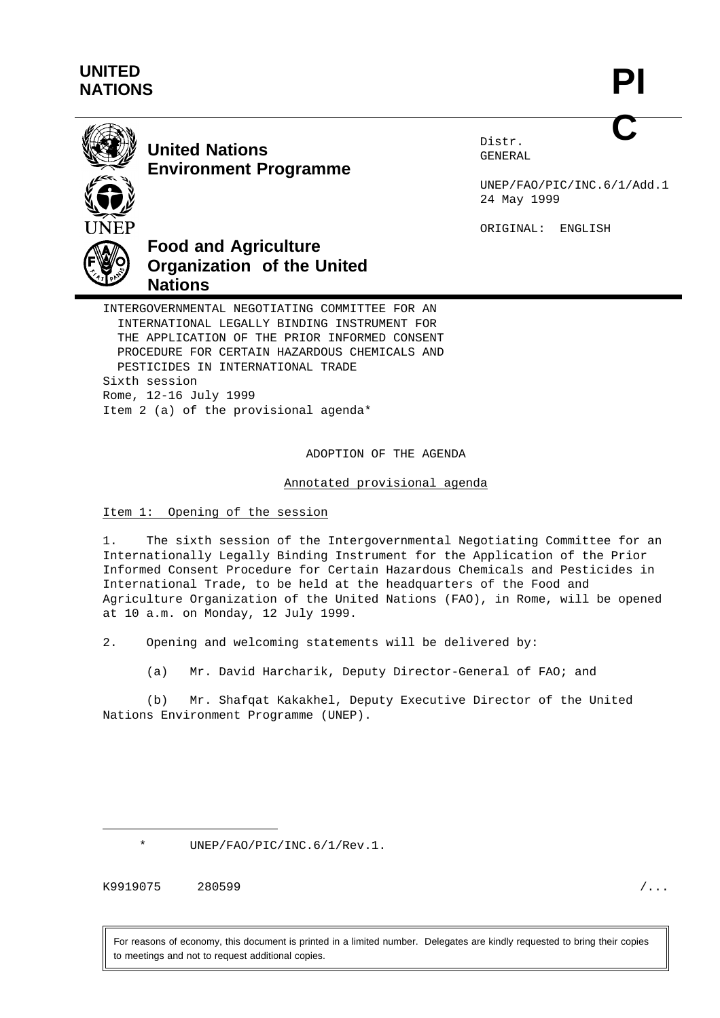## **UNITED NATIONS**



# **United Nations Environment Programme**

Distr. GENERAL

UNEP/FAO/PIC/INC.6/1/Add.1 24 May 1999

ORIGINAL: ENGLISH

**Food and Agriculture Organization of the United Nations**

INTERGOVERNMENTAL NEGOTIATING COMMITTEE FOR AN INTERNATIONAL LEGALLY BINDING INSTRUMENT FOR THE APPLICATION OF THE PRIOR INFORMED CONSENT PROCEDURE FOR CERTAIN HAZARDOUS CHEMICALS AND PESTICIDES IN INTERNATIONAL TRADE Sixth session Rome, 12-16 July 1999 Item 2 (a) of the provisional agenda\*

ADOPTION OF THE AGENDA

Annotated provisional agenda

## Item 1: Opening of the session

1. The sixth session of the Intergovernmental Negotiating Committee for an Internationally Legally Binding Instrument for the Application of the Prior Informed Consent Procedure for Certain Hazardous Chemicals and Pesticides in International Trade, to be held at the headquarters of the Food and Agriculture Organization of the United Nations (FAO), in Rome, will be opened at 10 a.m. on Monday, 12 July 1999.

2. Opening and welcoming statements will be delivered by:

(a) Mr. David Harcharik, Deputy Director-General of FAO; and

(b) Mr. Shafqat Kakakhel, Deputy Executive Director of the United Nations Environment Programme (UNEP).

UNEP/FAO/PIC/INC.6/1/Rev.1.

K9919075 280599 /...

For reasons of economy, this document is printed in a limited number. Delegates are kindly requested to bring their copies to meetings and not to request additional copies.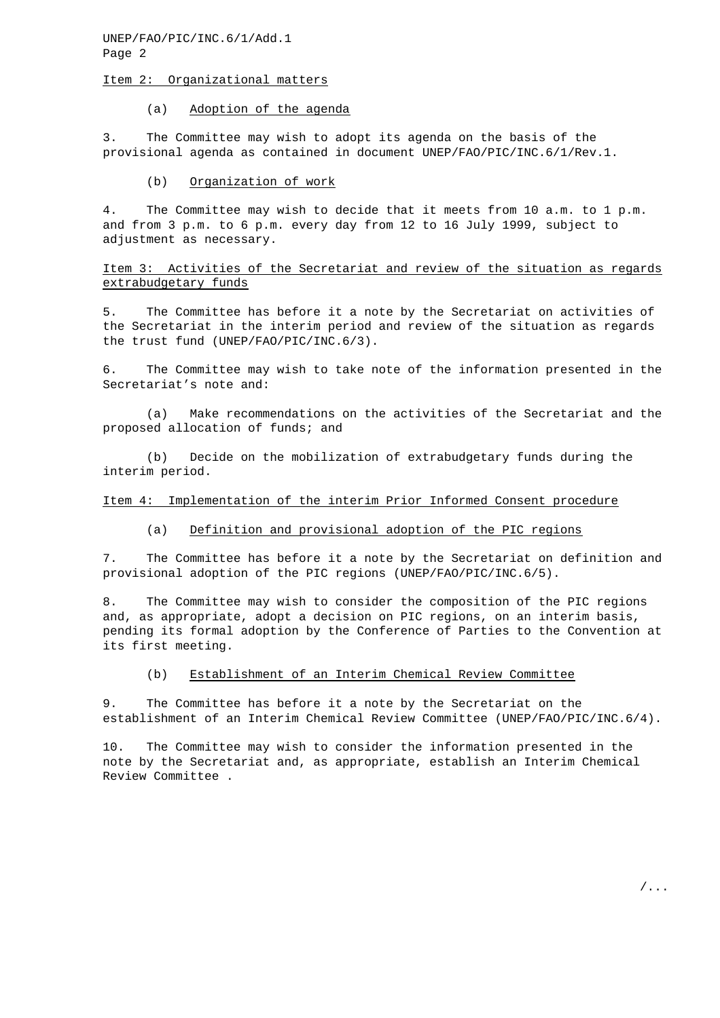UNEP/FAO/PIC/INC.6/1/Add.1 Page 2

#### Item 2: Organizational matters

#### (a) Adoption of the agenda

3. The Committee may wish to adopt its agenda on the basis of the provisional agenda as contained in document UNEP/FAO/PIC/INC.6/1/Rev.1.

#### (b) Organization of work

4. The Committee may wish to decide that it meets from 10 a.m. to 1 p.m. and from 3 p.m. to 6 p.m. every day from 12 to 16 July 1999, subject to adjustment as necessary.

Item 3: Activities of the Secretariat and review of the situation as regards extrabudgetary funds

5. The Committee has before it a note by the Secretariat on activities of the Secretariat in the interim period and review of the situation as regards the trust fund (UNEP/FAO/PIC/INC.6/3).

6. The Committee may wish to take note of the information presented in the Secretariat's note and:

(a) Make recommendations on the activities of the Secretariat and the proposed allocation of funds; and

(b) Decide on the mobilization of extrabudgetary funds during the interim period.

#### Item 4: Implementation of the interim Prior Informed Consent procedure

## (a) Definition and provisional adoption of the PIC regions

7. The Committee has before it a note by the Secretariat on definition and provisional adoption of the PIC regions (UNEP/FAO/PIC/INC.6/5).

8. The Committee may wish to consider the composition of the PIC regions and, as appropriate, adopt a decision on PIC regions, on an interim basis, pending its formal adoption by the Conference of Parties to the Convention at its first meeting.

#### (b) Establishment of an Interim Chemical Review Committee

9. The Committee has before it a note by the Secretariat on the establishment of an Interim Chemical Review Committee (UNEP/FAO/PIC/INC.6/4).

10. The Committee may wish to consider the information presented in the note by the Secretariat and, as appropriate, establish an Interim Chemical Review Committee .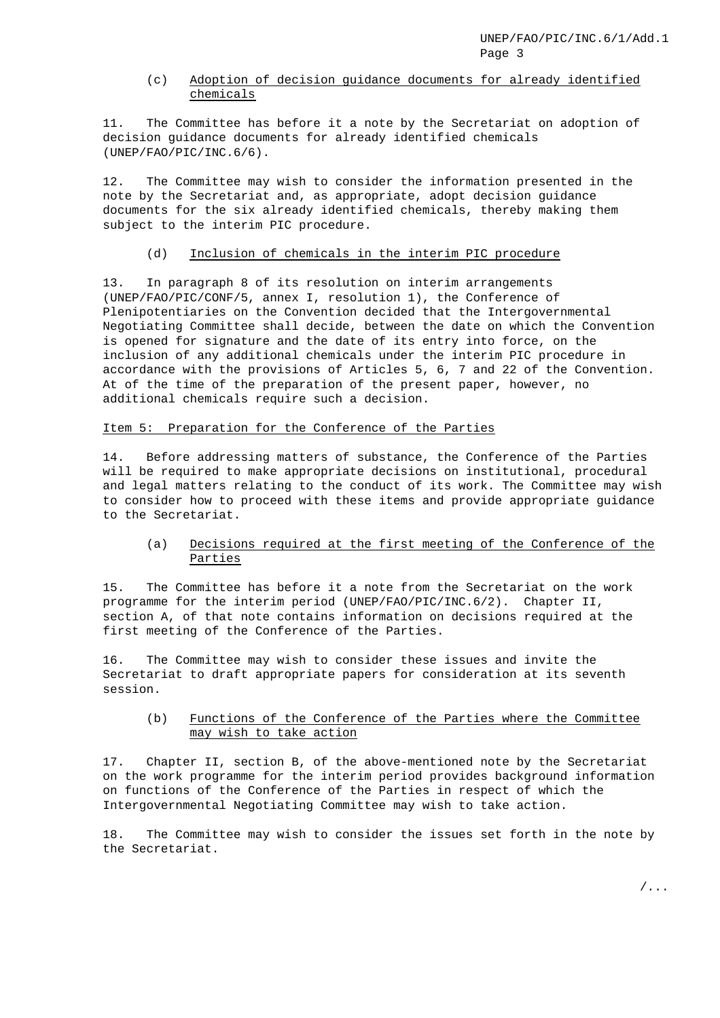## (c) Adoption of decision guidance documents for already identified chemicals

11. The Committee has before it a note by the Secretariat on adoption of decision guidance documents for already identified chemicals (UNEP/FAO/PIC/INC.6/6).

12. The Committee may wish to consider the information presented in the note by the Secretariat and, as appropriate, adopt decision guidance documents for the six already identified chemicals, thereby making them subject to the interim PIC procedure.

#### (d) Inclusion of chemicals in the interim PIC procedure

13. In paragraph 8 of its resolution on interim arrangements (UNEP/FAO/PIC/CONF/5, annex I, resolution 1), the Conference of Plenipotentiaries on the Convention decided that the Intergovernmental Negotiating Committee shall decide, between the date on which the Convention is opened for signature and the date of its entry into force, on the inclusion of any additional chemicals under the interim PIC procedure in accordance with the provisions of Articles 5, 6, 7 and 22 of the Convention. At of the time of the preparation of the present paper, however, no additional chemicals require such a decision.

## Item 5: Preparation for the Conference of the Parties

14. Before addressing matters of substance, the Conference of the Parties will be required to make appropriate decisions on institutional, procedural and legal matters relating to the conduct of its work. The Committee may wish to consider how to proceed with these items and provide appropriate guidance to the Secretariat.

## (a) Decisions required at the first meeting of the Conference of the Parties

15. The Committee has before it a note from the Secretariat on the work programme for the interim period (UNEP/FAO/PIC/INC.6/2). Chapter II, section A, of that note contains information on decisions required at the first meeting of the Conference of the Parties.

16. The Committee may wish to consider these issues and invite the Secretariat to draft appropriate papers for consideration at its seventh session.

## (b) Functions of the Conference of the Parties where the Committee may wish to take action

17. Chapter II, section B, of the above-mentioned note by the Secretariat on the work programme for the interim period provides background information on functions of the Conference of the Parties in respect of which the Intergovernmental Negotiating Committee may wish to take action.

18. The Committee may wish to consider the issues set forth in the note by the Secretariat.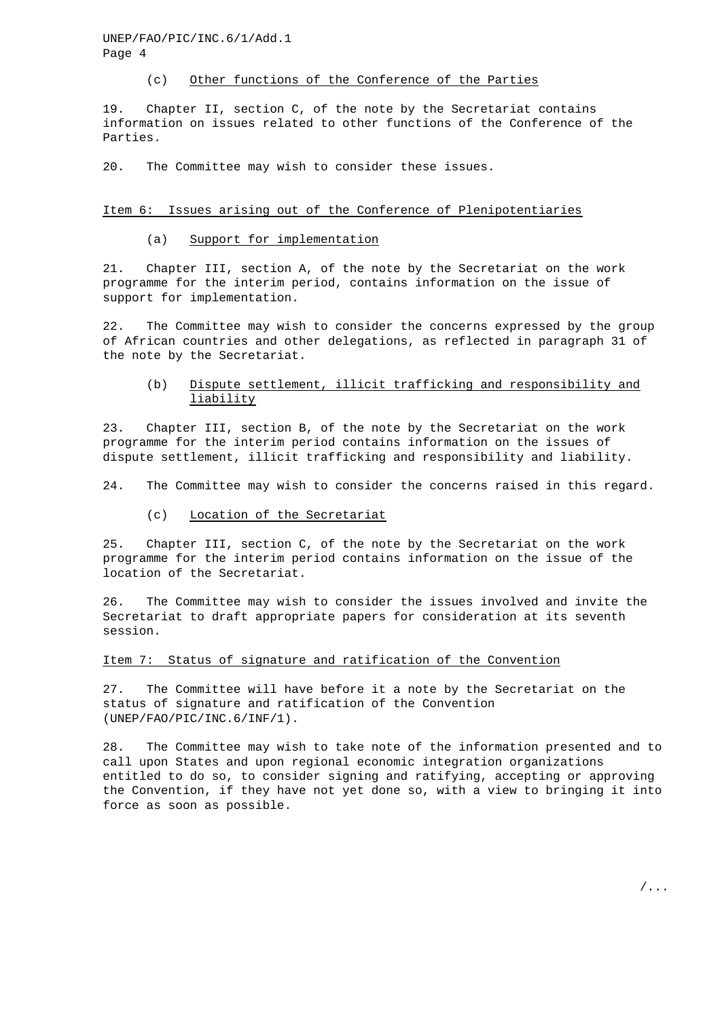UNEP/FAO/PIC/INC.6/1/Add.1 Page 4

#### (c) Other functions of the Conference of the Parties

19. Chapter II, section C, of the note by the Secretariat contains information on issues related to other functions of the Conference of the Parties.

20. The Committee may wish to consider these issues.

#### Item 6: Issues arising out of the Conference of Plenipotentiaries

#### (a) Support for implementation

21. Chapter III, section A, of the note by the Secretariat on the work programme for the interim period, contains information on the issue of support for implementation.

22. The Committee may wish to consider the concerns expressed by the group of African countries and other delegations, as reflected in paragraph 31 of the note by the Secretariat.

(b) Dispute settlement, illicit trafficking and responsibility and liability

23. Chapter III, section B, of the note by the Secretariat on the work programme for the interim period contains information on the issues of dispute settlement, illicit trafficking and responsibility and liability.

24. The Committee may wish to consider the concerns raised in this regard.

(c) Location of the Secretariat

25. Chapter III, section C, of the note by the Secretariat on the work programme for the interim period contains information on the issue of the location of the Secretariat.

26. The Committee may wish to consider the issues involved and invite the Secretariat to draft appropriate papers for consideration at its seventh session.

### Item 7: Status of signature and ratification of the Convention

27. The Committee will have before it a note by the Secretariat on the status of signature and ratification of the Convention (UNEP/FAO/PIC/INC.6/INF/1).

28. The Committee may wish to take note of the information presented and to call upon States and upon regional economic integration organizations entitled to do so, to consider signing and ratifying, accepting or approving the Convention, if they have not yet done so, with a view to bringing it into force as soon as possible.